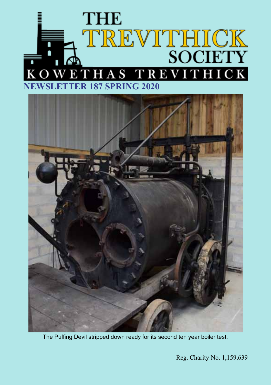



The Puffing Devil stripped down ready for its second ten year boiler test.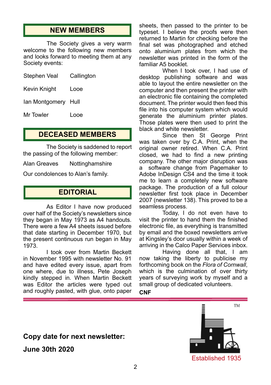## **NEW MEMBERS**

The Society gives a very warm welcome to the following new members and looks forward to meeting them at any Society events:

| Stephen Veal        | Callington |
|---------------------|------------|
| Kevin Knight        | Looe       |
| lan Montgomery Hull |            |

Mr Towler Looe

## **DECEASED MEMBERS**

The Society is saddened to report the passing of the following member:

Alan Greaves Nottinghamshire

Our condolences to Alan's family.

## **EDITORIAL**

As Editor I have now produced over half of the Society's newsletters since they began in May 1973 as A4 handouts. There were a few A4 sheets issued before that date starting in December 1970, but the present continuous run began in May 1973.

I took over from Martin Beckett in November 1995 with newsletter No. 91 and have edited every issue, apart from one where, due to illness, Pete Joseph kindly stepped in. When Martin Beckett was Editor the articles were typed out and roughly pasted, with glue, onto paper

sheets, then passed to the printer to be typeset. I believe the proofs were then returned to Martin for checking before the final set was photographed and etched onto aluminium plates from which the newsletter was printed in the form of the familiar A5 booklet.

When I took over, I had use of desktop publishing software and was able to layout the entire newsletter on the computer and then present the printer with an electronic file containing the completed document. The printer would then feed this file into his computer system which would generate the aluminium printer plates. Those plates were then used to print the black and white newsletter.

Since then St George Print was taken over by C.A. Print, when the original owner retired. When C.A. Print closed, we had to find a new printing company. The other major disruption was software change from Pagemaker to Adobe InDesign CS4 and the time it took me to learn a completely new software package. The production of a full colour newsletter first took place in December 2007 (newsletter 138). This proved to be a seamless process.

Today, I do not even have to visit the printer to hand them the finished electronic file, as everything is transmitted by email and the boxed newsletters arrive at Kingsley's door usually within a week of arriving in the Calco Paper Services inbox.

Having done all that, I am now taking the liberty to publicise my forthcoming book on the *Flora of Cornwall*, which is the culmination of over thirty years of surveying work by myself and a small group of dedicated volunteers.

**CNF**

## **Copy date for next newsletter:**

**June 30th 2020**

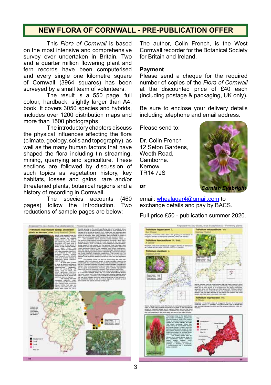## **NEW FLORA OF CORNWALL - PRE-PUBLICATION OFFER**

This *Flora of Cornwall* is based on the most intensive and comprehensive survey ever undertaken in Britain. Two and a quarter million flowering plant and fern records have been computerised and every single one kilometre square of Cornwall (3964 squares) has been surveyed by a small team of volunteers.

The result is a 550 page, full colour, hardback, slightly larger than A4, book. It covers 3050 species and hybrids, includes over 1200 distribution maps and more than 1500 photographs.

The introductory chapters discuss the physical influences affecting the flora (climate, geology, soils and topography), as well as the many human factors that have shaped the flora including tin streaming, mining, quarrying and agriculture. These sections are followed by discussion of such topics as vegetation history, key habitats, losses and gains, rare and/or threatened plants, botanical regions and a history of recording in Cornwall.<br>The species accou

accounts (460 pages) follow the introduction. Two reductions of sample pages are below:



The author, Colin French, is the West Cornwall recorder for the Botanical Society for Britain and Ireland.

#### **Payment**

Please send a cheque for the required number of copies of the *Flora of Cornwall*  at the discounted price of £40 each (including postage & packaging, UK only).

Be sure to enclose your delivery details including telephone and email address.

Please send to:

Dr. Colin French 12 Seton Gardens, Weeth Road, Camborne. Kernow. TR14 7JS



**or** 

email: whealagar4@gmail.com to exchange details and pay by BACS.

Full price £50 - publication summer 2020.

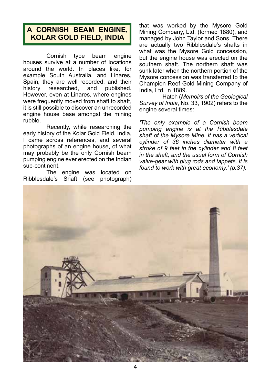# **A CORNISH BEAM ENGINE, KOLAR GOLD FIELD, INDIA**

Cornish type beam engine houses survive at a number of locations around the world. In places like, for example South Australia, and Linares, Spain, they are well recorded, and their<br>history researched, and published, history researched. However, even at Linares, where engines were frequently moved from shaft to shaft. it is still possible to discover an unrecorded engine house base amongst the mining rubble.

Recently, while researching the early history of the Kolar Gold Field, India, I came across references, and several photographs of an engine house, of what may probably be the only Cornish beam pumping engine ever erected on the Indian sub-continent.

The engine was located on Ribblesdale's Shaft (see photograph) that was worked by the Mysore Gold Mining Company, Ltd. (formed 1880), and managed by John Taylor and Sons. There are actually two Ribblesdale's shafts in what was the Mysore Gold concession, but the engine house was erected on the southern shaft. The northern shaft was sunk later when the northern portion of the Mysore concession was transferred to the Champion Reef Gold Mining Company of India, Ltd. in 1889.

Hatch (*Memoirs of the Geological Survey of India*, No. 33, 1902) refers to the engine several times:

*'The only example of a Cornish beam pumping engine is at the Ribblesdale shaft of the Mysore Mine. It has a vertical cylinder of 36 inches diameter with a stroke of 9 feet in the cylinder and 8 feet in the shaft, and the usual form of Cornish valve-gear with plug rods and tappets. It is found to work with great economy.' (p.37).*

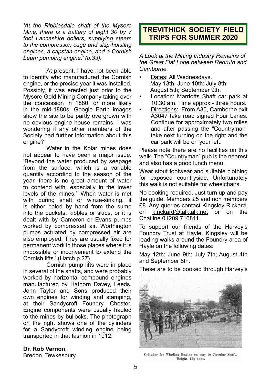*'At the Ribblesdale shaft of the Mysore Mine, there is a battery of eight 30 by 7 foot Lancashire boilers, supplying steam to the compressor, cage and skip-hoisting engines, a capstan-engine, and a Cornish beam pumping engine.' (p.33).*

At present, I have not been able to identify who manufactured the Cornish engine, or the precise year it was installed. Possibly, it was erected just prior to the Mysore Gold Mining Company taking over the concession in 1880, or more likely in the mid-1880s. Google Earth images show the site to be partly overgrown with no obvious engine house remains. I was wondering if any other members of the Society had further information about this engine?

Water in the Kolar mines does not appear to have been a major issue. 'Beyond the water produced by seepage from the surface, which is a variable quantity according to the season of the year, there is no great amount of water to contend with, especially in the lower levels of the mines.' 'When water is met with during shaft or winze-sinking, it is either baled by hand from the sump into the buckets, kibbles or skips, or it is dealt with by Cameron or Evans pumps worked by compressed air. Worthington pumps actuated by compressed air are also employed. They are usually fixed for permanent work in those places where it is impossible or inconvenient to extend the Cornish lifts.' (Hatch p.27)

Cornish pump lifts were in place in several of the shafts, and were probably worked by horizontal compound engines manufactured by Hathorn Davey, Leeds. John Taylor and Sons produced their own engines for winding and stamping, at their Sandycroft Foundry, Chester. Engine components were usually hauled to the mines by bullocks. The photograph on the right shows one of the cylinders for a Sandycroft winding engine being transported in that fashion in 1912.

#### **Dr. Rob Vernon,**

Bredon, Tewkesbury.

# **TREVITHICK SOCIETY FIELD TRIPS FOR SUMMER 2020**

*A Look at the Mining Industry Remains of the Great Flat Lode between Redruth and Camborne.*

- Dates: All Wednesdays. May 13th; June 10th; July 8th; August 5th; September 9th.
- Location: Marriotts Shaft car park at 10.30 am. Time approx - three hours.
- Directions: From A30, Camborne exit A3047 take road signed Four Lanes. Continue for approximately two miles and after passing the "Countryman" take next turning on the right and the car park will be on your left.

Please note there are no facilities on this walk. The "Countryman" pub is the nearest and also has a good lunch menu.

Wear stout footwear and suitable clothing for exposed countryside. Unfortunately this walk is not suitable for wheelchairs.

No booking required. Just turn up and pay the guide. Members £5 and non members £8. Any queries contact Kingsley Rickard, on k.rickard@talktalk.net or on the Chatline 01209 716811.

To support our friends of the Harvey's Foundry Trust at Hayle, Kingsley will be leading walks around the Foundry area of Hayle on the following dates:

May 12th; June 9th; July 7th; August 4th and September 8th.

These are to be booked through Harvey's



Cylinder for Winding Engine on way to Circular Shaft. Weight 15} tons.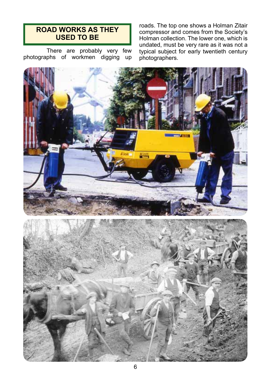## **ROAD WORKS AS THEY USED TO BE**

There are probably very few photographs of workmen digging up roads. The top one shows a Holman Zitair compressor and comes from the Society's Holman collection. The lower one, which is undated, must be very rare as it was not a typical subject for early twentieth century photographers.



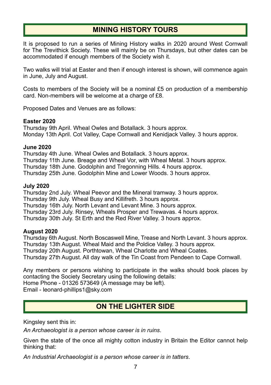# **MINING HISTORY TOURS**

It is proposed to run a series of Mining History walks in 2020 around West Cornwall for The Trevithick Society. These will mainly be on Thursdays, but other dates can be accommodated if enough members of the Society wish it.

Two walks will trial at Easter and then if enough interest is shown, will commence again in June, July and August.

Costs to members of the Society will be a nominal £5 on production of a membership card. Non-members will be welcome at a charge of £8.

Proposed Dates and Venues are as follows:

#### **Easter 2020**

Thursday 9th April. Wheal Owles and Botallack. 3 hours approx. Monday 13th April. Cot Valley, Cape Cornwall and Kenidjack Valley. 3 hours approx.

#### **June 2020**

Thursday 4th June. Wheal Owles and Botallack. 3 hours approx. Thursday 11th June. Breage and Wheal Vor, with Wheal Metal. 3 hours approx. Thursday 18th June. Godolphin and Tregonning Hills. 4 hours approx. Thursday 25th June. Godolphin Mine and Lower Woods. 3 hours approx.

#### **July 2020**

Thursday 2nd July. Wheal Peevor and the Mineral tramway. 3 hours approx. Thursday 9th July. Wheal Busy and Killifreth. 3 hours approx. Thursday 16th July. North Levant and Levant Mine. 3 hours approx. Thursday 23rd July. Rinsey, Wheals Prosper and Trewavas. 4 hours approx. Thursday 30th July. St Erth and the Red River Valley. 3 hours approx.

#### **August 2020**

Thursday 6th August. North Boscaswell Mine, Trease and North Levant. 3 hours approx. Thursday 13th August. Wheal Maid and the Poldice Valley. 3 hours approx. Thursday 20th August. Porthtowan, Wheal Charlotte and Wheal Coates. Thursday 27th August. All day walk of the Tin Coast from Pendeen to Cape Cornwall.

Any members or persons wishing to participate in the walks should book places by contacting the Society Secretary using the following details: Home Phone - 01326 573649 (A message may be left).

Email - leonard-phillips1@sky.com

# **ON THE LIGHTER SIDE**

Kingsley sent this in:

*An Archaeologist is a person whose career is in ruins*.

Given the state of the once all mighty cotton industry in Britain the Editor cannot help thinking that:

*An Industrial Archaeologist is a person whose career is in tatters*.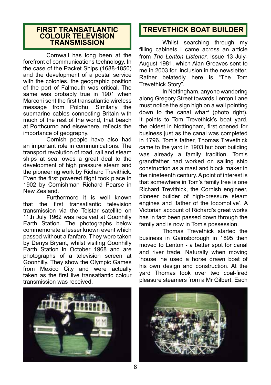## **FIRST TRANSATLANTIC COLOUR TELEVISION TRANSMISSION**

Cornwall has long been at the forefront of communications technology. In the case of the Packet Ships (1688-1850) and the development of a postal service with the colonies, the geographic position of the port of Falmouth was critical. The same was probably true in 1901 when Marconi sent the first transatlantic wireless message from Poldhu. Similarly the submarine cables connecting Britain with much of the rest of the world, that beach at Porthcurno and elsewhere, reflects the importance of geography.

Cornish people have also had an important role in communications. The transport revolution of road, rail and steam ships at sea, owes a great deal to the development of high pressure steam and the pioneering work by Richard Trevithick. Even the first powered flight took place in 1902 by Cornishman Richard Pearse in New Zealand.

Furthermore it is well known that the first transatlantic television transmission via the Telstar satellite on 11th July 1962 was received at Goonhilly Earth Station. The photographs below commemorate a lesser known event which passed without a fanfare. They were taken by Denys Bryant, whilst visiting Goonhilly Earth Station in October 1968 and are photographs of a television screen at Goonhilly. They show the Olympic Games from Mexico City and were actually taken as the first live transatlantic colour transmission was received.



# **TREVETHICK BOAT BUILDER**

Whilst searching through my filling cabinets I came across an article from *The Lenton Listener*, Issue 13 July-August 1981, which Alan Greaves sent to me in 2003 for inclusion in the newsletter. Rather belatedly here is "The Tom Trevethick Story".

In Nottingham, anyone wandering along Gregory Street towards Lenton Lane must notice the sign high on a wall pointing down to the canal wharf (photo right). It points to Tom Trevethick's boat yard, the oldest in Nottingham, first opened for business just as the canal was completed in 1796. Tom's father, Thomas Trevethick came to the yard in 1903 but boat building was already a family tradition. Tom's grandfather had worked on sailing ship construction as a mast and block maker in the nineteenth century. A point of interest is that somewhere in Tom's family tree is one Richard Trevithick, the Cornish engineer, pioneer builder of high-pressure steam engines and 'father of the locomotive'. A Victorian account of Richard's great works has in fact been passed down through the family and is now in Tom's possession.

Thomas Trevethick started the business in Gainsborough in 1895 then moved to Lenton - a better spot for canal and river trade. Naturally when moving 'house' he used a horse drawn boat of his own design and construction. At the yard Thomas took over two coal-fired pleasure steamers from a Mr Gilbert. Each

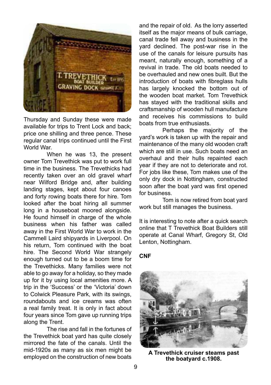

Thursday and Sunday these were made available for trips to Trent Lock and back; price one shilling and three pence. These regular canal trips continued until the First World War.

When he was 13, the present owner Tom Trevethick was put to work full time in the business. The Trevethicks had recently taken over an old gravel wharf near Wilford Bridge and, after building landing stages, kept about four canoes and forty rowing boats there for hire. Tom looked after the boat hiring all summer long in a houseboat moored alongside. He found himself in charge of the whole business when his father was called away in the First World War to work in the Cammell Laird shipyards in Liverpool. On his return, Tom continued with the boat hire. The Second World War strangely enough turned out to be a boom time for the Trevethicks. Many families were not able to go away for a holiday, so they made up for it by using local amenities more. A trip in the 'Success' or the 'Victoria' down to Colwick Pleasure Park, with its swings, roundabouts and ice creams was often a real family treat. It is only in fact about four years since Tom gave up running trips along the Trent.

The rise and fall in the fortunes of the Trevethick boat yard has quite closely mirrored the fate of the canals. Until the mid-1920s as many as six men might be employed on the construction of new boats **A Trevethick cruiser steams past** 

and the repair of old. As the lorry asserted itself as the major means of bulk carriage, canal trade fell away and business in the yard declined. The post-war rise in the use of the canals for leisure pursuits has meant, naturally enough, something of a revival in trade. The old boats needed to be overhauled and new ones built. But the introduction of boats with fibreglass hulls has largely knocked the bottom out of the wooden boat market. Tom Trevethick has stayed with the traditional skills and craftsmanship of wooden hull manufacture and receives his commissions to build boats from true enthusiasts.

Perhaps the majority of the yard's work is taken up with the repair and maintenance of the many old wooden craft which are still in use. Such boats need an overhaul and their hulls repainted each year if they are not to deteriorate and rot. For jobs like these, Tom makes use of the only dry dock in Nottingham, constructed soon after the boat yard was first opened for business.

Tom is now retired from boat yard work but still manages the business.

It is interesting to note after a quick search online that T Trevethick Boat Builders still operate at Canal Wharf, Gregory St, Old Lenton, Nottingham.

#### **CNF**



**the boatyard c.1908.**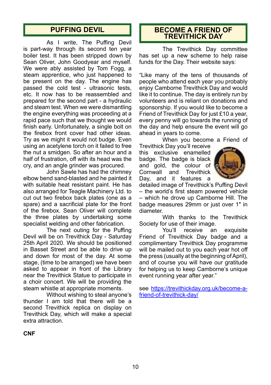As I write, The Puffing Devil is part-way through its second ten year boiler test. It has been stripped down by Sean Oliver, John Goodyear and myself. We were ably assisted by Tom Fogg, a steam apprentice, who just happened to be present on the day. The engine has passed the cold test - ultrasonic tests, etc. It now has to be reassembled and prepared for the second part - a hydraulic and steam test. When we were dismantling the engine everything was proceeding at a rapid pace such that we thought we would finish early. Unfortunately, a single bolt on the firebox front cover had other ideas. Try as we might it would not budge. Even using an acetylene torch on it failed to free the nut a smidgen. So after an hour and a half of frustration, off with its head was the cry, and an angle grinder was procured.

John Sawle has had the chimney elbow bend sand-blasted and he painted it with suitable heat resistant paint. He has also arranged for Teagle Machinery Ltd. to cut out two firebox back plates (one as a spare) and a sacrificial plate for the front of the firebox. Sean Oliver will complete the three plates by undertaking some specialist welding and other fabrication.

The next outing for the Puffing Devil will be on Trevithick Day - Saturday 25th April 2020. We should be positioned in Basset Street and be able to drive up and down for most of the day. At some stage, (time to be arranged) we have been asked to appear in front of the Library near the Trevithick Statue to participate in a choir concert. We will be providing the steam whistle at appropriate moments.

Without wishing to steal anyone's thunder I am told that there will be a second Trevithick replica on display on Trevithick Day, which will make a special extra attraction.

## **PUFFING DEVIL BECOME A FRIEND OF TREVITHICK DAY**

The Trevithick Day committee has set up a new scheme to help raise funds for the Day. Their website says:

"Like many of the tens of thousands of people who attend each year you probably enjoy Camborne Trevithick Day and would like it to continue. The day is entirely run by volunteers and is reliant on donations and sponsorship. If you would like to become a Friend of Trevithick Day for just £10 a year, every penny will go towards the running of the day and help ensure the event will go ahead in years to come.

When you become a Friend of

Trevithick Day you'll receive this exclusive enamelled badge. The badge is black and gold, the colour of Cornwall and Trevithick Day, and it features a



detailed image of Trevithick's Puffing Devil – the world's first steam powered vehicle – which he drove up Camborne Hill. The badge measures 29mm or just over 1″ in diameter.

With thanks to the Trevithick Society for use of their image.

You'll receive an exquisite Friend of Trevithick Day badge and a complimentary Trevithick Day programme will be mailed out to you each year hot off the press (usually at the beginning of April), and of course you will have our gratitude for helping us to keep Camborne's unique event running year after year."

see https://trevithickday.org.uk/become-afriend-of-trevithick-day/

**CNF**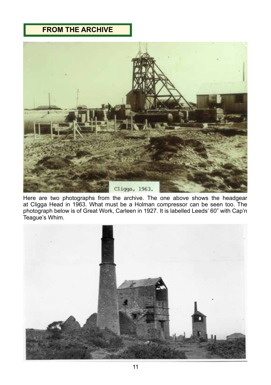# **FROM THE ARCHIVE**



Here are two photographs from the archive. The one above shows the headgear at Cligga Head in 1963. What must be a Holman compressor can be seen too. The photograph below is of Great Work, Carleen in 1927. It is labelled Leeds' 60" with Cap'n Teague's Whim.

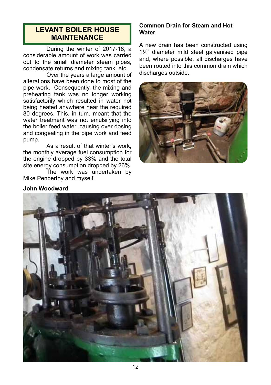## **LEVANT BOILER HOUSE MAINTENANCE**

During the winter of 2017-18, a considerable amount of work was carried out to the small diameter steam pipes, condensate returns and mixing tank, etc.

Over the years a large amount of alterations have been done to most of the pipe work. Consequently, the mixing and preheating tank was no longer working satisfactorily which resulted in water not being heated anywhere near the required 80 degrees. This, in turn, meant that the water treatment was not emulsifying into the boiler feed water, causing over dosing and congealing in the pipe work and feed pump.

As a result of that winter's work, the monthly average fuel consumption for the engine dropped by 33% and the total site energy consumption dropped by 26%.

The work was undertaken by Mike Penberthy and myself.

#### **Common Drain for Steam and Hot Water**

A new drain has been constructed using 1½" diameter mild steel galvanised pipe and, where possible, all discharges have been routed into this common drain which discharges outside.



## **John Woodward**

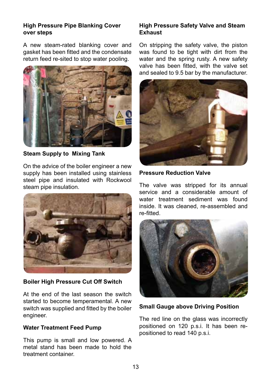#### **High Pressure Pipe Blanking Cover over steps**

A new steam-rated blanking cover and gasket has been fitted and the condensate return feed re-sited to stop water pooling.



**Steam Supply to Mixing Tank**

On the advice of the boiler engineer a new supply has been installed using stainless steel pipe and insulated with Rockwool steam pipe insulation.



#### **Boiler High Pressure Cut Off Switch**

At the end of the last season the switch started to become temperamental. A new switch was supplied and fitted by the boiler engineer.

#### **Water Treatment Feed Pump**

This pump is small and low powered. A metal stand has been made to hold the treatment container.

#### **High Pressure Safety Valve and Steam Exhaust**

On stripping the safety valve, the piston was found to be tight with dirt from the water and the spring rusty. A new safety valve has been fitted, with the valve set and sealed to 9.5 bar by the manufacturer.



**Pressure Reduction Valve**

The valve was stripped for its annual service and a considerable amount of water treatment sediment was found inside. It was cleaned, re-assembled and re-fitted.



**Small Gauge above Driving Position**

The red line on the glass was incorrectly positioned on 120 p.s.i. It has been repositioned to read 140 p.s.i.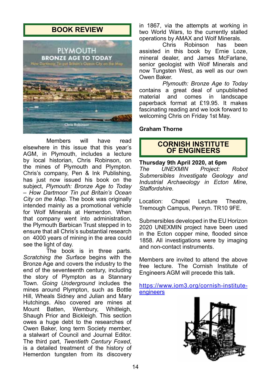## **BOOK REVIEW**



Members will have read elsewhere in this issue that this year's AGM, in Plymouth, includes a lecture by local historian, Chris Robinson, on the mines of Plymouth and Plympton. Chris's company, Pen & Ink Publishing, has just now issued his book on the subject, *Plymouth: Bronze Age to Today – How Dartmoor Tin put Britain's Ocean City on the Map*. The book was originally intended mainly as a promotional vehicle for Wolf Minerals at Hemerdon. When that company went into administration, the Plymouth Barbican Trust stepped in to ensure that all Chris's substantial research on 4000 years of mining in the area could see the light of day.

The book is in three parts. *Scratching the Surface* begins with the Bronze Age and covers the industry to the end of the seventeenth century, including the story of Plympton as a Stannary Town. *Going Underground* includes the mines around Plympton, such as Bottle Hill, Wheals Sidney and Julian and Mary Hutchings. Also covered are mines at Mount Batten, Wembury, Whitleigh, Shaugh Prior and Bickleigh. This section owes a huge debt to the researches of Owen Baker, long term Society member, a stalwart of Council and Journal Editor. The third part, *Twentieth Century Foxed*, is a detailed treatment of the history of Hemerdon tungsten from its discovery

in 1867, via the attempts at working in two World Wars, to the currently stalled

operations by AMAX and Wolf Minerals. Robinson assisted in this book by Ernie Loze, mineral dealer, and James McFarlane, senior geologist with Wolf Minerals and now Tungsten West, as well as our own Owen Baker.

*Plymouth: Bronze Age to Today* contains a great deal of unpublished comes in landscape paperback format at £19.95. It makes fascinating reading and we look forward to welcoming Chris on Friday 1st May.

#### **Graham Thorne**

## **CORNISH INSTITUTE OF ENGINEERS**

**Thursday 9th April 2020, at 6pm** *UNEXMIN Project: Robot Submersibles Investigate Geology and Industrial Archaeology in Ecton Mine, Staffordshire.*

Location: Chapel Lecture Theatre, Tremough Campus, Penryn. TR10 9FE.

Submersibles developed in the EU Horizon 2020 UNEXMIN project have been used in the Ecton copper mine, flooded since 1858. All investigations were by imaging and non-contact instruments.

Members are invited to attend the above free lecture. The Cornish Institute of Engineers AGM will precede this talk.

https://www.iom3.org/cornish-instituteengineers

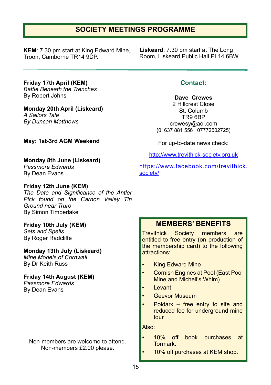## **SOCIETY MEETINGS PROGRAMME**

**KEM**: 7.30 pm start at King Edward Mine, Troon, Camborne TR14 9DP.

**Liskeard**: 7.30 pm start at The Long Room, Liskeard Public Hall PL14 6BW.

**Friday 17th April (KEM)** *Battle Beneath the Trenches* By Robert Johns

**Monday 20th April (Liskeard)** *A Sailors Tale By Duncan Matthews*

**May: 1st-3rd AGM Weekend**

**Monday 8th June (Liskeard)** *Passmore Edwards*

By Dean Evans

#### **Friday 12th June (KEM)**

*The Date and Significance of the Antler Pick found on the Carnon Valley Tin Ground near Truro* By Simon Timberlake

# **Friday 10th July (KEM)**

*Sets and Spells* By Roger Radcliffe

#### **Monday 13th July (Liskeard)**

*Mine Models of Cornwall* By Dr Keith Russ

#### **Friday 14th August (KEM)** *Passmore Edwards*

By Dean Evans

Non-members are welcome to attend. Non-members £2.00 please.

## **Contact:**

**Dave Crewes**

2 Hillcrest Close St. Columb TR9 6BP crewesy@aol.com (01637 881 556 07772502725)

For up-to-date news check:

http://www.trevithick-society.org.uk

https://www.facebook.com/trevithick. society/

## **MEMBERS' BENEFITS**

Trevithick Society members are entitled to free entry (on production of the membership card) to the following attractions:

- King Edward Mine
- Cornish Engines at Pool (East Pool Mine and Michell's Whim)
- Levant
- **Geevor Museum**
- Poldark free entry to site and reduced fee for underground mine tour

Also:

- 10% off book purchases at Tormark.
	- 10% off purchases at KEM shop.